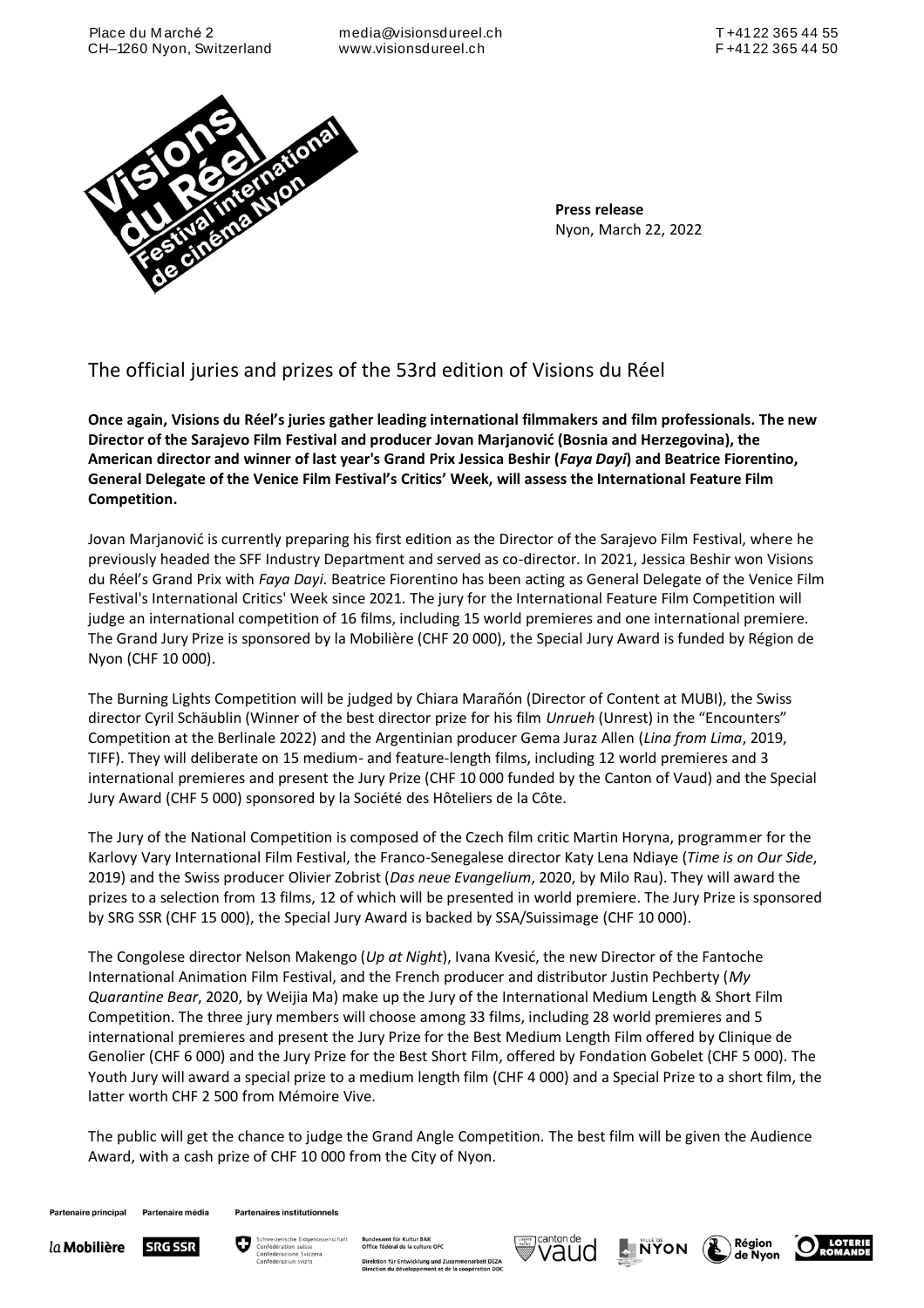media@visionsdureel.ch www.visionsdureel.ch



**Press release**  Nyon, March 22, 2022

# The official juries and prizes of the 53rd edition of Visions du Réel

**Once again, Visions du Réel's juries gather leading international filmmakers and film professionals. The new Director of the Sarajevo Film Festival and producer Jovan Marjanović (Bosnia and Herzegovina), the American director and winner of last year's Grand Prix Jessica Beshir (***Faya Dayi***) and Beatrice Fiorentino, General Delegate of the Venice Film Festival's Critics' Week, will assess the International Feature Film Competition.** 

Jovan Marjanović is currently preparing his first edition as the Director of the Sarajevo Film Festival, where he previously headed the SFF Industry Department and served as co-director. In 2021, Jessica Beshir won Visions du Réel's Grand Prix with *Faya Dayi*. Beatrice Fiorentino has been acting as General Delegate of the Venice Film Festival's International Critics' Week since 2021. The jury for the International Feature Film Competition will judge an international competition of 16 films, including 15 world premieres and one international premiere. The Grand Jury Prize is sponsored by la Mobilière (CHF 20 000), the Special Jury Award is funded by Région de Nyon (CHF 10 000).

The Burning Lights Competition will be judged by Chiara Marañón (Director of Content at MUBI), the Swiss director Cyril Schäublin (Winner of the best director prize for his film *Unrueh* (Unrest) in the "Encounters" Competition at the Berlinale 2022) and the Argentinian producer Gema Juraz Allen (*Lina from Lima*, 2019, TIFF). They will deliberate on 15 medium- and feature-length films, including 12 world premieres and 3 international premieres and present the Jury Prize (CHF 10 000 funded by the Canton of Vaud) and the Special Jury Award (CHF 5 000) sponsored by la Société des Hôteliers de la Côte.

The Jury of the National Competition is composed of the Czech film critic Martin Horyna, programmer for the Karlovy Vary International Film Festival, the Franco-Senegalese director Katy Lena Ndiaye (*Time is on Our Side*, 2019) and the Swiss producer Olivier Zobrist (*Das neue Evangelium*, 2020, by Milo Rau). They will award the prizes to a selection from 13 films, 12 of which will be presented in world premiere. The Jury Prize is sponsored by SRG SSR (CHF 15 000), the Special Jury Award is backed by SSA/Suissimage (CHF 10 000).

The Congolese director Nelson Makengo (*Up at Night*), Ivana Kvesić, the new Director of the Fantoche International Animation Film Festival, and the French producer and distributor Justin Pechberty (*My Quarantine Bear*, 2020, by Weijia Ma) make up the Jury of the International Medium Length & Short Film Competition. The three jury members will choose among 33 films, including 28 world premieres and 5 international premieres and present the Jury Prize for the Best Medium Length Film offered by Clinique de Genolier (CHF 6 000) and the Jury Prize for the Best Short Film, offered by Fondation Gobelet (CHF 5 000). The Youth Jury will award a special prize to a medium length film (CHF 4 000) and a Special Prize to a short film, the latter worth CHF 2 500 from Mémoire Vive.

The public will get the chance to judge the Grand Angle Competition. The best film will be given the Audience Award, with a cash prize of CHF 10 000 from the City of Nyon.

Partenaire principal Partenaire média

**Partenaires institutionnels** 





für Entwicklung und Zusamm<br>du développement et de la co





Région

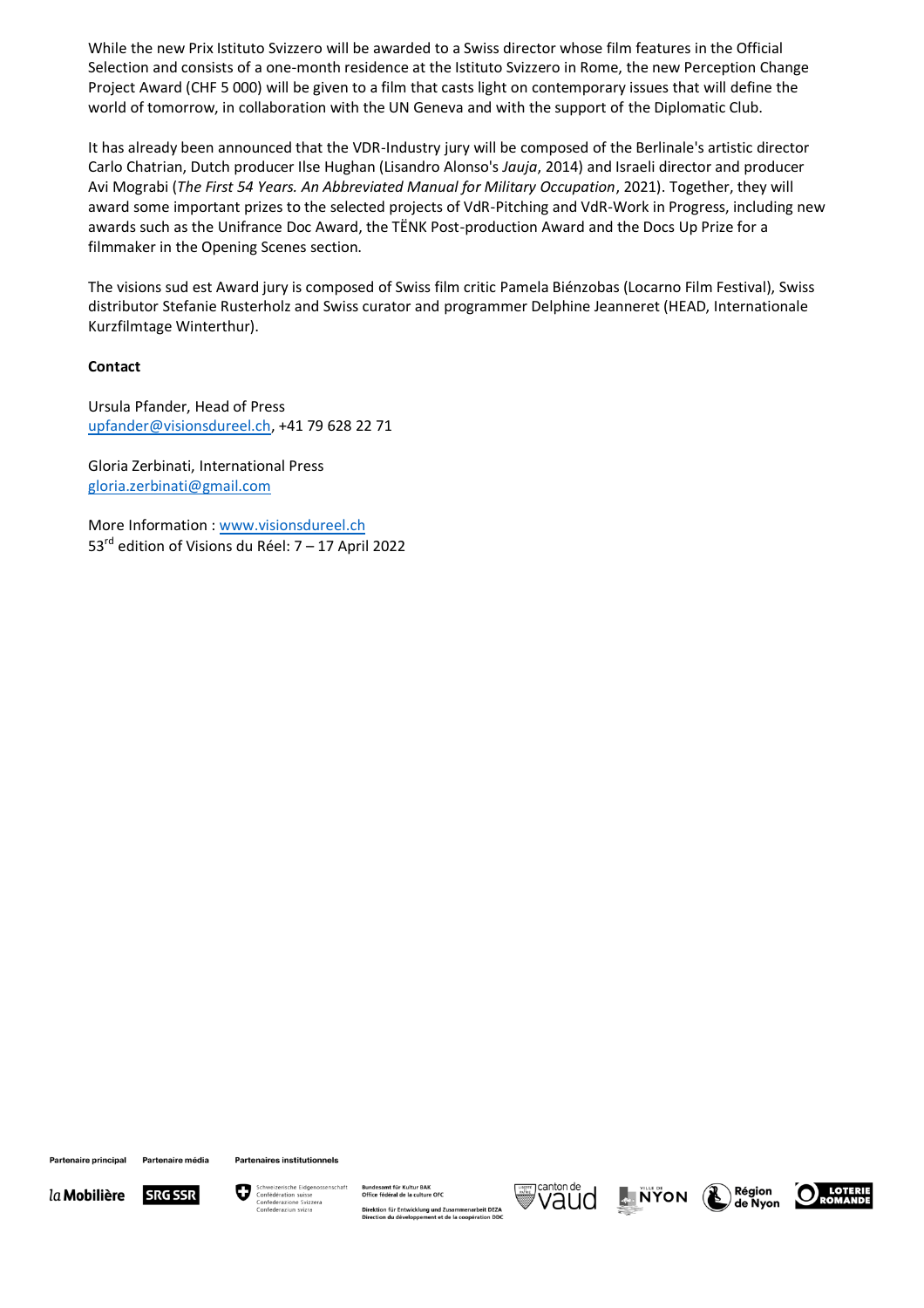While the new Prix Istituto Svizzero will be awarded to a Swiss director whose film features in the Official Selection and consists of a one-month residence at the Istituto Svizzero in Rome, the new Perception Change Project Award (CHF 5 000) will be given to a film that casts light on contemporary issues that will define the world of tomorrow, in collaboration with the UN Geneva and with the support of the Diplomatic Club.

It has already been announced that the VDR-Industry jury will be composed of the Berlinale's artistic director Carlo Chatrian, Dutch producer Ilse Hughan (Lisandro Alonso's *Jauja*, 2014) and Israeli director and producer Avi Mograbi (*The First 54 Years. An Abbreviated Manual for Military Occupation*, 2021). Together, they will award some important prizes to the selected projects of VdR-Pitching and VdR-Work in Progress, including new awards such as the Unifrance Doc Award, the TËNK Post-production Award and the Docs Up Prize for a filmmaker in the Opening Scenes section.

The visions sud est Award jury is composed of Swiss film critic Pamela Biénzobas (Locarno Film Festival), Swiss distributor Stefanie Rusterholz and Swiss curator and programmer Delphine Jeanneret (HEAD, Internationale Kurzfilmtage Winterthur).

### **Contact**

Ursula Pfander, Head of Press [upfander@visionsdureel.ch,](mailto:upfander@visionsdureel.ch) +41 79 628 22 71

Gloria Zerbinati, International Press [gloria.zerbinati@gmail.com](mailto:gloria.zerbinati@gmail.com)

More Information : [www.visionsdureel.ch](http://www.visionsdureel.ch/)  53 $^{rd}$  edition of Visions du Réel: 7 – 17 April 2022

Partenaire principal

Partenaire média

**SRG SSR** 

**Partenaires institutionnels** 



Direktion für Entwicklung und Zusammenarbeit DEZA<br>Direction du développement et de la coopération DDC





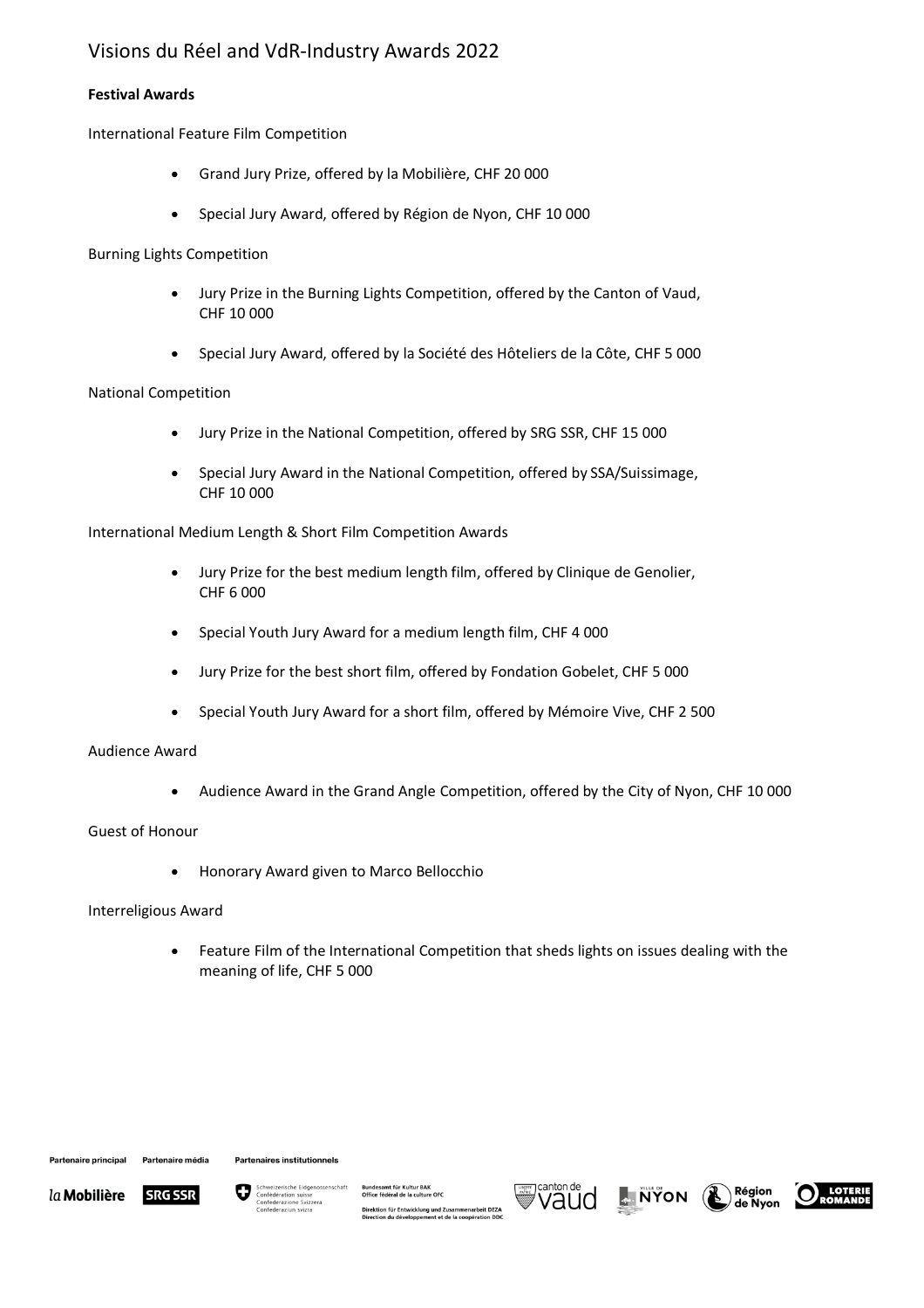# Visions du Réel and VdR-Industry Awards 2022

## **Festival Awards**

International Feature Film Competition

- Grand Jury Prize, offered by la Mobilière, CHF 20 000
- Special Jury Award, offered by Région de Nyon, CHF 10 000

Burning Lights Competition

- Jury Prize in the Burning Lights Competition, offered by the Canton of Vaud, CHF 10 000
- Special Jury Award, offered by la Société des Hôteliers de la Côte, CHF 5 000

## National Competition

- Jury Prize in the National Competition, offered by SRG SSR, CHF 15 000
- Special Jury Award in the National Competition, offered by SSA/Suissimage, CHF 10 000

International Medium Length & Short Film Competition Awards

- Jury Prize for the best medium length film, offered by Clinique de Genolier, CHF 6 000
- Special Youth Jury Award for a medium length film, CHF 4 000
- Jury Prize for the best short film, offered by Fondation Gobelet, CHF 5 000
- Special Youth Jury Award for a short film, offered by Mémoire Vive, CHF 2 500

## Audience Award

• Audience Award in the Grand Angle Competition, offered by the City of Nyon, CHF 10 000

## Guest of Honour

• Honorary Award given to Marco Bellocchio

## Interreligious Award

• Feature Film of the International Competition that sheds lights on issues dealing with the meaning of life, CHF 5 000

Partenaire principal

Partenaire média Partenaires institutionnels





Direktion für Entwicklung und Zusammenarbeit DEZA<br>Direction du développement et de la coopération DDC







Région<br>de Nyon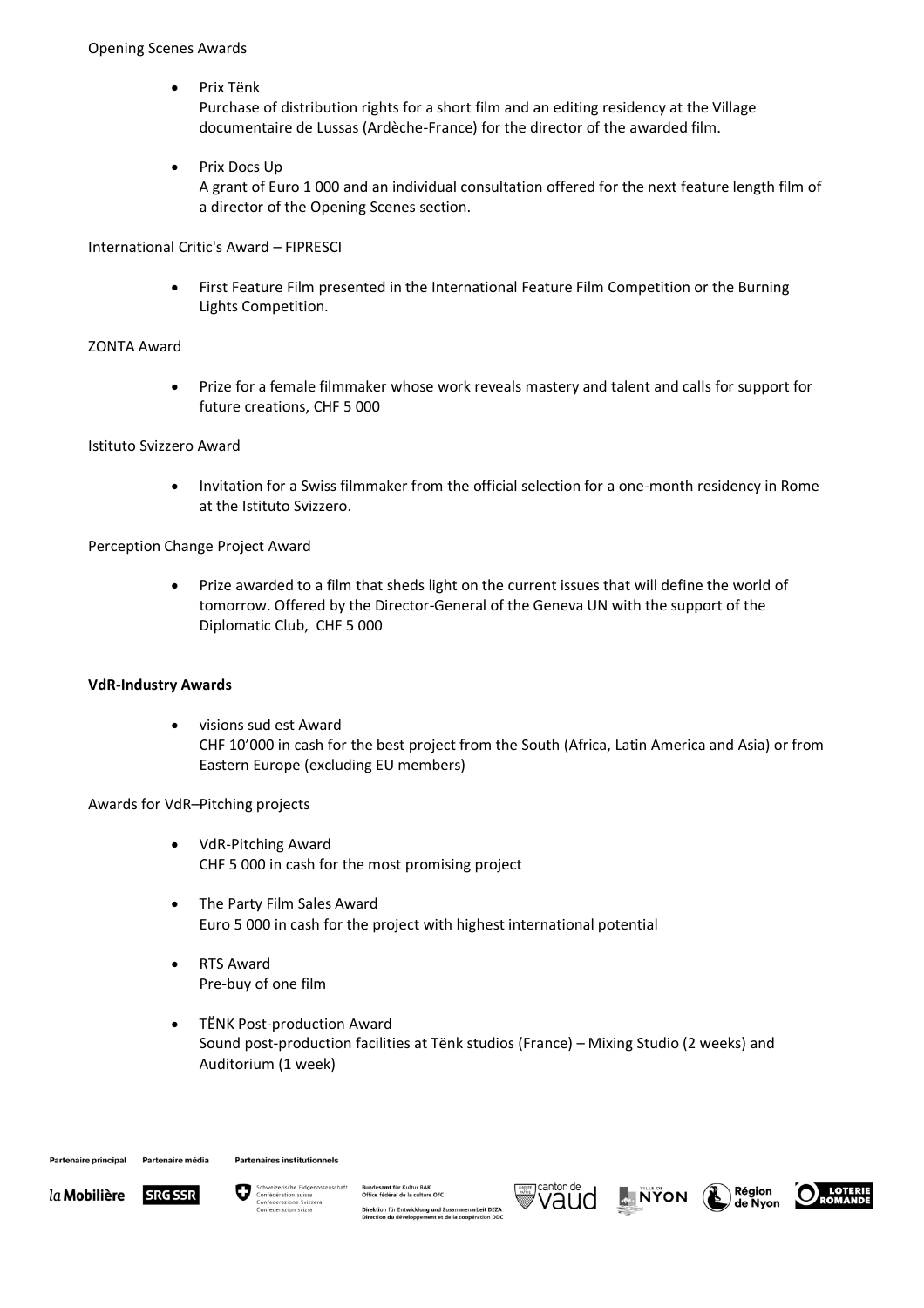• Prix Tënk

Purchase of distribution rights for a short film and an editing residency at the Village documentaire de Lussas (Ardèche-France) for the director of the awarded film.

• Prix Docs Up

A grant of Euro 1 000 and an individual consultation offered for the next feature length film of a director of the Opening Scenes section.

International Critic's Award – FIPRESCI

• First Feature Film presented in the International Feature Film Competition or the Burning Lights Competition.

### ZONTA Award

• Prize for a female filmmaker whose work reveals mastery and talent and calls for support for future creations, CHF 5 000

### Istituto Svizzero Award

• Invitation for a Swiss filmmaker from the official selection for a one-month residency in Rome at the Istituto Svizzero.

Perception Change Project Award

• Prize awarded to a film that sheds light on the current issues that will define the world of tomorrow. Offered by the Director-General of the Geneva UN with the support of the Diplomatic Club, CHF 5 000

#### **VdR-Industry Awards**

• visions sud est Award CHF 10'000 in cash for the best project from the South (Africa, Latin America and Asia) or from Eastern Europe (excluding EU members)

Awards for VdR–Pitching projects

- VdR-Pitching Award CHF 5 000 in cash for the most promising project
- The Party Film Sales Award Euro 5 000 in cash for the project with highest international potential
- RTS Award Pre-buy of one film
- TËNK Post-production Award Sound post-production facilities at Tënk studios (France) – Mixing Studio (2 weeks) and Auditorium (1 week)





Direktion für Entwicklung und Zusammenarbeit DEZA<br>Direction du développement et de la coopération DDC